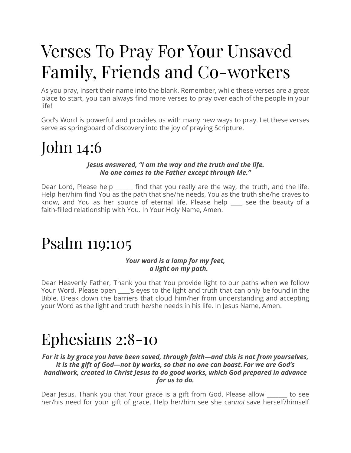# Verses To Pray For Your Unsaved Family, Friends and Co-workers

As you pray, insert their name into the blank. Remember, while these verses are a great place to start, you can always find more verses to pray over each of the people in your life!

God's Word is powerful and provides us with many new ways to pray. Let these verses serve as springboard of discovery into the joy of praying Scripture.

### John 14:6

#### *Jesus answered, "I am the way and the truth and the life. No one comes to the Father except through Me."*

Dear Lord, Please help \_\_\_\_\_\_ find that you really are the way, the truth, and the life. Help her/him find You as the path that she/he needs, You as the truth she/he craves to know, and You as her source of eternal life. Please help \_\_\_\_ see the beauty of a faith-filled relationship with You. In Your Holy Name, Amen.

### Psalm 119:105

#### *Your word is a lamp for my feet, a light on my path.*

Dear Heavenly Father, Thank you that You provide light to our paths when we follow Your Word. Please open sangle yes to the light and truth that can only be found in the Bible. Break down the barriers that cloud him/her from understanding and accepting your Word as the light and truth he/she needs in his life. In Jesus Name, Amen.

### Ephesians 2:8-10

#### *For it is by grace you have been saved, through faith—and this is not from yourselves, it is the gift of God—not by works, so that no one can boast. For we are God's handiwork, created in Christ Jesus to do good works, which God prepared in advance for us to do.*

Dear Jesus, Thank you that Your grace is a gift from God. Please allow \_\_\_\_\_\_\_ to see her/his need for your gift of grace. Help her/him see she can*not* save herself/himself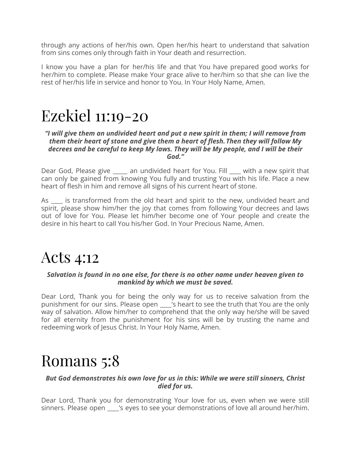through any actions of her/his own. Open her/his heart to understand that salvation from sins comes only through faith in Your death and resurrection.

I know you have a plan for her/his life and that You have prepared good works for her/him to complete. Please make Your grace alive to her/him so that she can live the rest of her/his life in service and honor to You. In Your Holy Name, Amen.

### Ezekiel 11:19-20

#### *"I will give them an undivided heart and put a new spirit in them; I will remove from them their heart of stone and give them a heart of flesh. Then they will follow My decrees and be careful to keep My laws. They will be My people, and I will be their God."*

Dear God, Please give \_\_\_\_\_ an undivided heart for You. Fill \_\_\_\_ with a new spirit that can only be gained from knowing You fully and trusting You with his life. Place a new heart of flesh in him and remove all signs of his current heart of stone.

As \_\_\_\_ is transformed from the old heart and spirit to the new, undivided heart and spirit, please show him/her the joy that comes from following Your decrees and laws out of love for You. Please let him/her become one of Your people and create the desire in his heart to call You his/her God. In Your Precious Name, Amen.

### Acts 4:12

#### *Salvation is found in no one else, for there is no other name under heaven given to mankind by which we must be saved.*

Dear Lord, Thank you for being the only way for us to receive salvation from the punishment for our sins. Please open \_\_\_\_'s heart to see the truth that You are the only way of salvation. Allow him/her to comprehend that the only way he/she will be saved for all eternity from the punishment for his sins will be by trusting the name and redeeming work of Jesus Christ. In Your Holy Name, Amen.

### Romans 5:8

#### *But God demonstrates his own love for us in this: While we were still sinners, Christ died for us.*

Dear Lord, Thank you for demonstrating Your love for us, even when we were still sinners. Please open \_\_\_\_'s eyes to see your demonstrations of love all around her/him.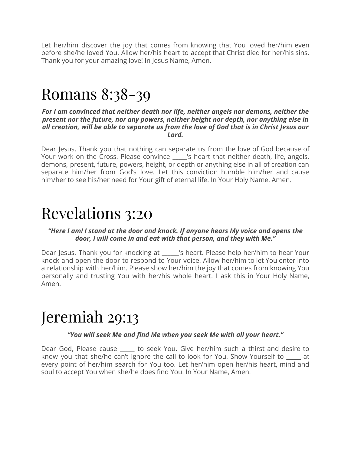Let her/him discover the joy that comes from knowing that You loved her/him even before she/he loved You. Allow her/his heart to accept that Christ died for her/his sins. Thank you for your amazing love! In Jesus Name, Amen.

### Romans 8:38-39

#### *For I am convinced that neither death nor life, neither angels nor demons, neither the present nor the future, nor any powers, neither height nor depth, nor anything else in all creation, will be able to separate us from the love of God that is in Christ Jesus our Lord.*

Dear Jesus, Thank you that nothing can separate us from the love of God because of Your work on the Cross. Please convince \_\_\_\_\_'s heart that neither death, life, angels, demons, present, future, powers, height, or depth or anything else in all of creation can separate him/her from God's love. Let this conviction humble him/her and cause him/her to see his/her need for Your gift of eternal life. In Your Holy Name, Amen.

### Revelations 3:20

#### *"Here I am! I stand at the door and knock. If anyone hears My voice and opens the door, I will come in and eat with that person, and they with Me."*

Dear Jesus, Thank you for knocking at \_\_\_\_\_\_'s heart. Please help her/him to hear Your knock and open the door to respond to Your voice. Allow her/him to let You enter into a relationship with her/him. Please show her/him the joy that comes from knowing You personally and trusting You with her/his whole heart. I ask this in Your Holy Name, Amen.

### Jeremiah 29:13

#### *"You will seek Me and find Me when you seek Me with all your heart."*

Dear God, Please cause \_\_\_\_\_ to seek You. Give her/him such a thirst and desire to know you that she/he can't ignore the call to look for You. Show Yourself to \_\_\_\_\_ at every point of her/him search for You too. Let her/him open her/his heart, mind and soul to accept You when she/he does find You. In Your Name, Amen.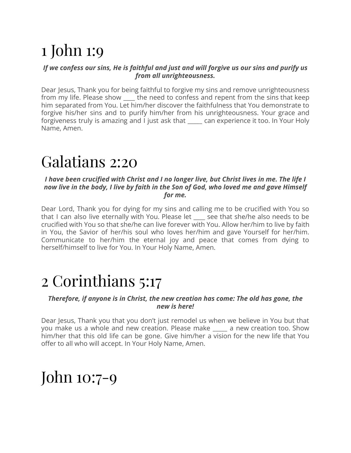## 1 John 1:9

#### *If we confess our sins, He is faithful and just and will forgive us our sins and purify us from all unrighteousness.*

Dear Jesus, Thank you for being faithful to forgive my sins and remove unrighteousness from my life. Please show \_\_\_\_ the need to confess and repent from the sins that keep him separated from You. Let him/her discover the faithfulness that You demonstrate to forgive his/her sins and to purify him/her from his unrighteousness. Your grace and forgiveness truly is amazing and I just ask that \_\_\_\_\_ can experience it too. In Your Holy Name, Amen.

### Galatians 2:20

#### *I have been crucified with Christ and I no longer live, but Christ lives in me. The life I* now live in the body, I live by faith in the Son of God, who loved me and gave Himself *for me.*

Dear Lord, Thank you for dying for my sins and calling me to be crucified with You so that I can also live eternally with You. Please let \_\_\_\_ see that she/he also needs to be crucified with You so that she/he can live forever with You. Allow her/him to live by faith in You, the Savior of her/his soul who loves her/him and gave Yourself for her/him. Communicate to her/him the eternal joy and peace that comes from dying to herself/himself to live for You. In Your Holy Name, Amen.

### 2 Corinthians 5:17

#### *Therefore, if anyone is in Christ, the new creation has come: The old has gone, the new is here!*

Dear Jesus, Thank you that you don't just remodel us when we believe in You but that you make us a whole and new creation. Please make \_\_\_\_\_ a new creation too. Show him/her that this old life can be gone. Give him/her a vision for the new life that You offer to all who will accept. In Your Holy Name, Amen.

### John 10:7-9